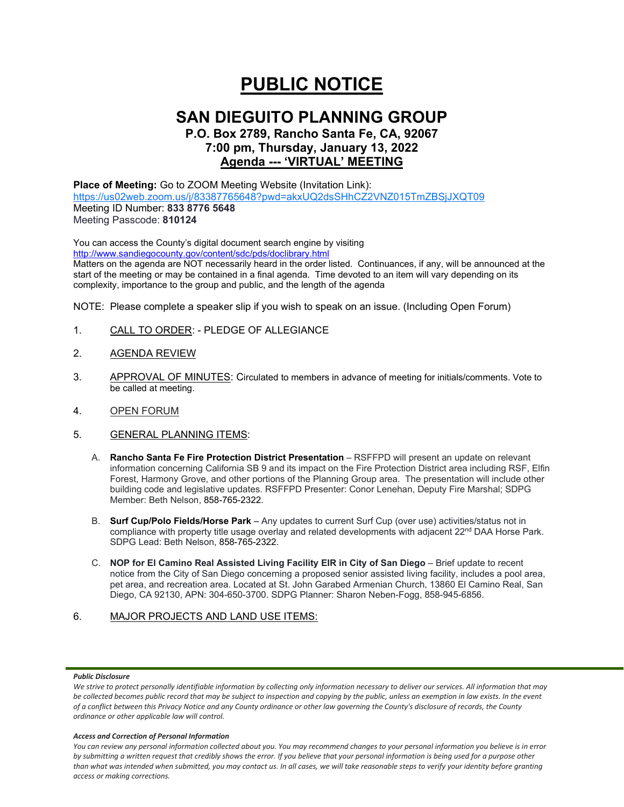# **PUBLIC NOTICE**

# **SAN DIEGUITO PLANNING GROUP**

**P.O. Box 2789, Rancho Santa Fe, CA, 92067 7:00 pm, Thursday, January 13, 2022 Agenda --- 'VIRTUAL' MEETING**

## **Place of Meeting:** Go to ZOOM Meeting Website (Invitation Link): <https://us02web.zoom.us/j/83387765648?pwd=akxUQ2dsSHhCZ2VNZ015TmZBSjJXQT09>

Meeting ID Number: **833 8776 5648** Meeting Passcode: **810124**

You can access the County's digital document search engine by visiting <http://www.sandiegocounty.gov/content/sdc/pds/doclibrary.html>

Matters on the agenda are NOT necessarily heard in the order listed. Continuances, if any, will be announced at the start of the meeting or may be contained in a final agenda. Time devoted to an item will vary depending on its complexity, importance to the group and public, and the length of the agenda

NOTE: Please complete a speaker slip if you wish to speak on an issue. (Including Open Forum)

- 1. CALL TO ORDER: PLEDGE OF ALLEGIANCE
- 2. AGENDA REVIEW
- 3. APPROVAL OF MINUTES: Circulated to members in advance of meeting for initials/comments. Vote to be called at meeting.
- 4. OPEN FORUM
- 5. GENERAL PLANNING ITEMS:
	- A. **Rancho Santa Fe Fire Protection District Presentation** RSFFPD will present an update on relevant information concerning California SB 9 and its impact on the Fire Protection District area including RSF, Elfin Forest, Harmony Grove, and other portions of the Planning Group area. The presentation will include other building code and legislative updates. RSFFPD Presenter: Conor Lenehan, Deputy Fire Marshal; SDPG Member: Beth Nelson, 858-765-2322.
	- B. **Surf Cup/Polo Fields/Horse Park** Any updates to current Surf Cup (over use) activities/status not in compliance with property title usage overlay and related developments with adjacent 22<sup>nd</sup> DAA Horse Park. SDPG Lead: Beth Nelson, 858-765-2322.
	- C. **NOP for El Camino Real Assisted Living Facility EIR in City of San Diego** Brief update to recent notice from the City of San Diego concerning a proposed senior assisted living facility, includes a pool area, pet area, and recreation area. Located at St. John Garabed Armenian Church, 13860 El Camino Real, San Diego, CA 92130, APN: 304-650-3700. SDPG Planner: Sharon Neben-Fogg, 858-945-6856.

# 6. MAJOR PROJECTS AND LAND USE ITEMS:

### *Public Disclosure*

#### *Access and Correction of Personal Information*

*You can review any personal information collected about you. You may recommend changes to your personal information you believe is in error by submitting a written request that credibly shows the error. If you believe that your personal information is being used for a purpose other than what was intended when submitted, you may contact us. In all cases, we will take reasonable steps to verify your identity before granting access or making corrections.*

We strive to protect personally identifiable information by collecting only information necessary to deliver our services. All information that may *be collected becomes public record that may be subject to inspection and copying by the public, unless an exemption in law exists. In the event of a conflict between this Privacy Notice and any County ordinance or other law governing the County's disclosure of records, the County ordinance or other applicable law will control.*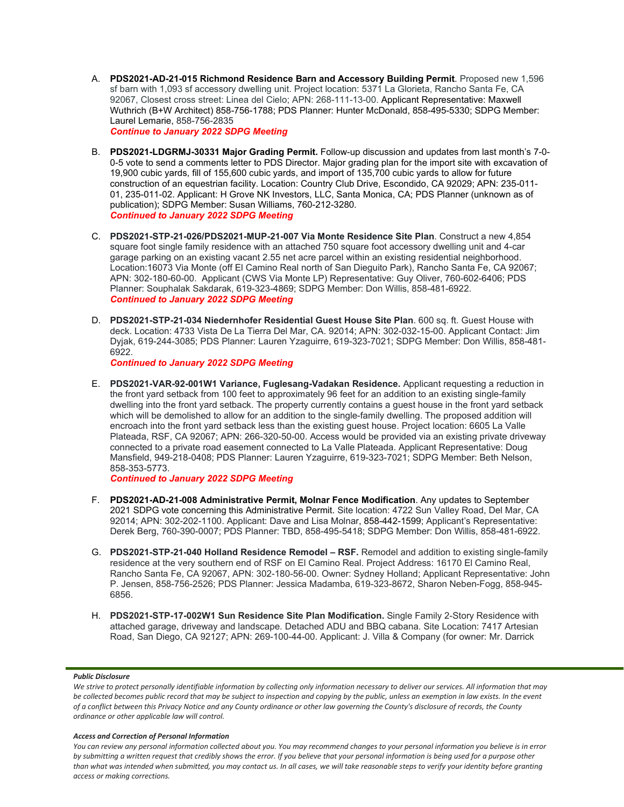A. **PDS2021-AD-21-015 Richmond Residence Barn and Accessory Building Permit**. Proposed new 1,596 sf barn with 1,093 sf accessory dwelling unit. Project location: 5371 La Glorieta, Rancho Santa Fe, CA 92067, Closest cross street: Linea del Cielo; APN: 268-111-13-00. Applicant Representative: Maxwell Wuthrich (B+W Architect) 858-756-1788; PDS Planner: Hunter McDonald, 858-495-5330; SDPG Member: Laurel Lemarie, 858-756-2835

*Continue to January 2022 SDPG Meeting*

- B. **PDS2021-LDGRMJ-30331 Major Grading Permit.** Follow-up discussion and updates from last month's 7-0- 0-5 vote to send a comments letter to PDS Director. Major grading plan for the import site with excavation of 19,900 cubic yards, fill of 155,600 cubic yards, and import of 135,700 cubic yards to allow for future construction of an equestrian facility. Location: Country Club Drive, Escondido, CA 92029; APN: 235-011- 01, 235-011-02. Applicant: H Grove NK Investors, LLC, Santa Monica, CA; PDS Planner (unknown as of publication); SDPG Member: Susan Williams, 760-212-3280. *Continued to January 2022 SDPG Meeting*
- C. **PDS2021-STP-21-026/PDS2021-MUP-21-007 Via Monte Residence Site Plan**. Construct a new 4,854 square foot single family residence with an attached 750 square foot accessory dwelling unit and 4-car garage parking on an existing vacant 2.55 net acre parcel within an existing residential neighborhood. Location:16073 Via Monte (off El Camino Real north of San Dieguito Park), Rancho Santa Fe, CA 92067; APN: 302-180-60-00. Applicant (CWS Via Monte LP) Representative: Guy Oliver, 760-602-6406; PDS Planner: Souphalak Sakdarak, 619-323-4869; SDPG Member: Don Willis, 858-481-6922. *Continued to January 2022 SDPG Meeting*
- D. **PDS2021-STP-21-034 Niedernhofer Residential Guest House Site Plan**. 600 sq. ft. Guest House with deck. Location: 4733 Vista De La Tierra Del Mar, CA. 92014; APN: 302-032-15-00. Applicant Contact: Jim Dyjak, 619-244-3085; PDS Planner: Lauren Yzaguirre, 619-323-7021; SDPG Member: Don Willis, 858-481- 6922.

*Continued to January 2022 SDPG Meeting*

E. **PDS2021-VAR-92-001W1 Variance, Fuglesang-Vadakan Residence.** Applicant requesting a reduction in the front yard setback from 100 feet to approximately 96 feet for an addition to an existing single-family dwelling into the front yard setback. The property currently contains a guest house in the front yard setback which will be demolished to allow for an addition to the single-family dwelling. The proposed addition will encroach into the front yard setback less than the existing guest house. Project location: 6605 La Valle Plateada, RSF, CA 92067; APN: 266-320-50-00. Access would be provided via an existing private driveway connected to a private road easement connected to La Valle Plateada. Applicant Representative: Doug Mansfield, 949-218-0408; PDS Planner: Lauren Yzaguirre, 619-323-7021; SDPG Member: Beth Nelson, 858-353-5773.

*Continued to January 2022 SDPG Meeting*

- F. **PDS2021-AD-21-008 Administrative Permit, Molnar Fence Modification**. Any updates to September 2021 SDPG vote concerning this Administrative Permit. Site location: 4722 Sun Valley Road, Del Mar, CA 92014; APN: 302-202-1100. Applicant: Dave and Lisa Molnar, 858-442-1599; Applicant's Representative: Derek Berg, 760-390-0007; PDS Planner: TBD, 858-495-5418; SDPG Member: Don Willis, 858-481-6922.
- G. **PDS2021-STP-21-040 Holland Residence Remodel – RSF.** Remodel and addition to existing single-family residence at the very southern end of RSF on El Camino Real. Project Address: 16170 El Camino Real, Rancho Santa Fe, CA 92067, APN: 302-180-56-00. Owner: Sydney Holland; Applicant Representative: John P. Jensen, 858-756-2526; PDS Planner: Jessica Madamba, 619-323-8672, Sharon Neben-Fogg, 858-945- 6856.
- H. **PDS2021-STP-17-002W1 Sun Residence Site Plan Modification.** Single Family 2-Story Residence with attached garage, driveway and landscape. Detached ADU and BBQ cabana. Site Location: 7417 Artesian Road, San Diego, CA 92127; APN: 269-100-44-00. Applicant: J. Villa & Company (for owner: Mr. Darrick

### *Public Disclosure*

#### *Access and Correction of Personal Information*

*You can review any personal information collected about you. You may recommend changes to your personal information you believe is in error by submitting a written request that credibly shows the error. If you believe that your personal information is being used for a purpose other than what was intended when submitted, you may contact us. In all cases, we will take reasonable steps to verify your identity before granting access or making corrections.*

We strive to protect personally identifiable information by collecting only information necessary to deliver our services. All information that may *be collected becomes public record that may be subject to inspection and copying by the public, unless an exemption in law exists. In the event of a conflict between this Privacy Notice and any County ordinance or other law governing the County's disclosure of records, the County ordinance or other applicable law will control.*